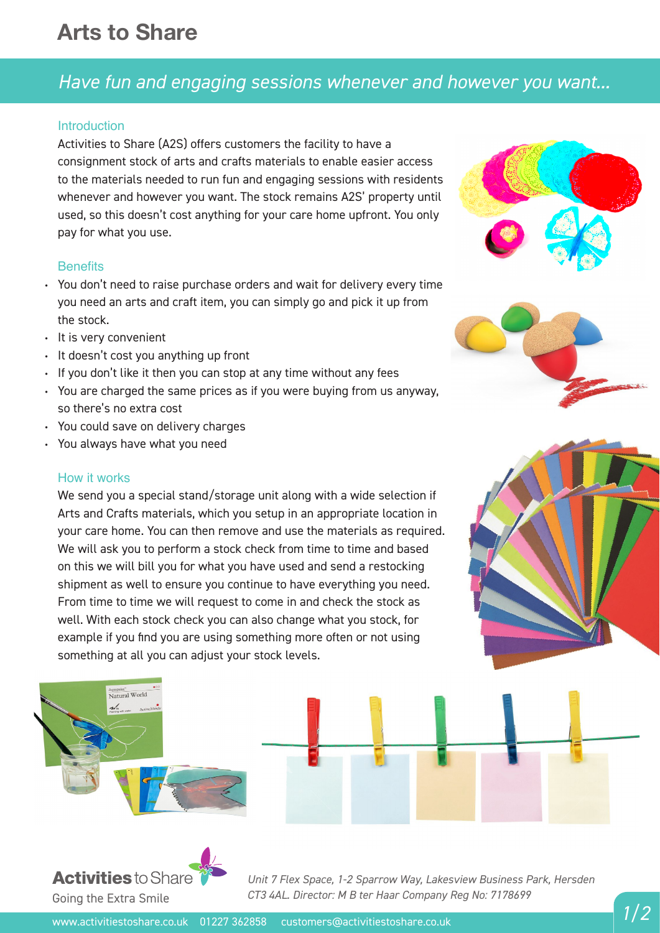# **Arts to Share**

# *Have fun and engaging sessions whenever and however you want...*

## **Introduction**

Activities to Share (A2S) offers customers the facility to have a consignment stock of arts and crafts materials to enable easier access to the materials needed to run fun and engaging sessions with residents whenever and however you want. The stock remains A2S' property until used, so this doesn't cost anything for your care home upfront. You only pay for what you use.

## **Benefits**

- You don't need to raise purchase orders and wait for delivery every time you need an arts and craft item, you can simply go and pick it up from the stock.
- It is very convenient
- It doesn't cost you anything up front
- $\cdot$  If you don't like it then you can stop at any time without any fees
- You are charged the same prices as if you were buying from us anyway, so there's no extra cost
- You could save on delivery charges
- You always have what you need •

#### How it works

We send you a special stand/storage unit along with a wide selection if Arts and Crafts materials, which you setup in an appropriate location in your care home. You can then remove and use the materials as required. We will ask you to perform a stock check from time to time and based on this we will bill you for what you have used and send a restocking shipment as well to ensure you continue to have everything you need. From time to time we will request to come in and check the stock as well. With each stock check you can also change what you stock, for example if you find you are using something more often or not using something at all you can adjust your stock levels.





*Unit 7 Flex Space, 1-2 Sparrow Way, Lakesview Business Park, Hersden* Going the Extra Smile *CT3 4AL. Director: M B ter Haar Company Reg No: 7178699*